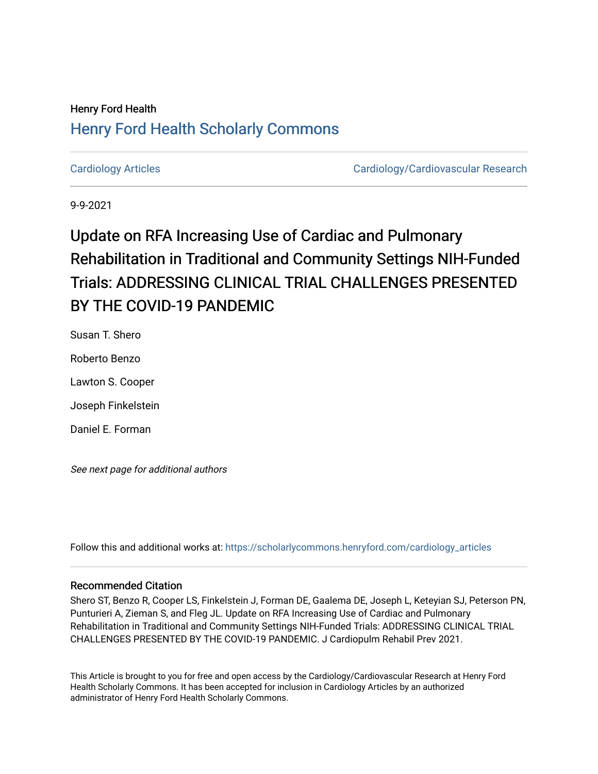# Henry Ford Health [Henry Ford Health Scholarly Commons](https://scholarlycommons.henryford.com/)

[Cardiology Articles](https://scholarlycommons.henryford.com/cardiology_articles) [Cardiology/Cardiovascular Research](https://scholarlycommons.henryford.com/cardiology) 

9-9-2021

# Update on RFA Increasing Use of Cardiac and Pulmonary Rehabilitation in Traditional and Community Settings NIH-Funded Trials: ADDRESSING CLINICAL TRIAL CHALLENGES PRESENTED BY THE COVID-19 PANDEMIC

Susan T. Shero Roberto Benzo Lawton S. Cooper Joseph Finkelstein Daniel E. Forman

See next page for additional authors

Follow this and additional works at: [https://scholarlycommons.henryford.com/cardiology\\_articles](https://scholarlycommons.henryford.com/cardiology_articles?utm_source=scholarlycommons.henryford.com%2Fcardiology_articles%2F812&utm_medium=PDF&utm_campaign=PDFCoverPages)

## Recommended Citation

Shero ST, Benzo R, Cooper LS, Finkelstein J, Forman DE, Gaalema DE, Joseph L, Keteyian SJ, Peterson PN, Punturieri A, Zieman S, and Fleg JL. Update on RFA Increasing Use of Cardiac and Pulmonary Rehabilitation in Traditional and Community Settings NIH-Funded Trials: ADDRESSING CLINICAL TRIAL CHALLENGES PRESENTED BY THE COVID-19 PANDEMIC. J Cardiopulm Rehabil Prev 2021.

This Article is brought to you for free and open access by the Cardiology/Cardiovascular Research at Henry Ford Health Scholarly Commons. It has been accepted for inclusion in Cardiology Articles by an authorized administrator of Henry Ford Health Scholarly Commons.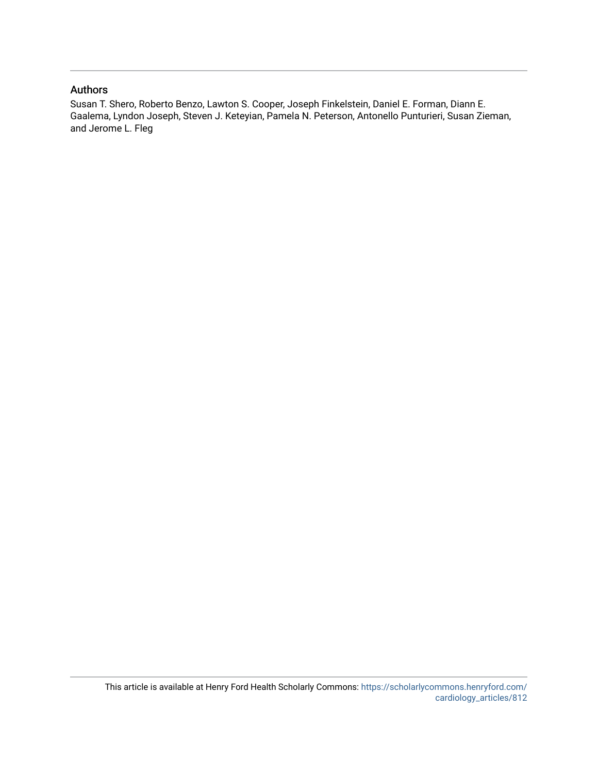## Authors

Susan T. Shero, Roberto Benzo, Lawton S. Cooper, Joseph Finkelstein, Daniel E. Forman, Diann E. Gaalema, Lyndon Joseph, Steven J. Keteyian, Pamela N. Peterson, Antonello Punturieri, Susan Zieman, and Jerome L. Fleg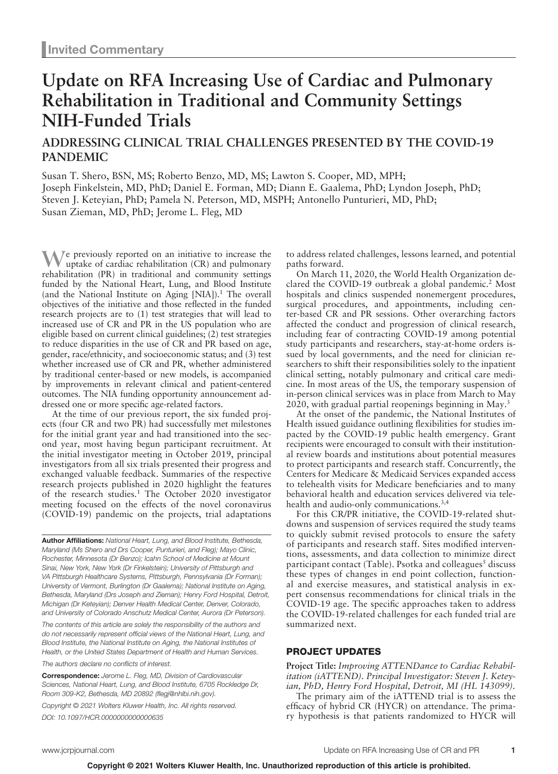# **Update on RFA Increasing Use of Cardiac and Pulmonary Rehabilitation in Traditional and Community Settings NIH-Funded Trials**

# **ADDRESSING CLINICAL TRIAL CHALLENGES PRESENTED BY THE COVID-19 PANDEMIC**

Susan T. Shero, BSN, MS; Roberto Benzo, MD, MS; Lawton S. Cooper, MD, MPH; Joseph Finkelstein, MD, PhD; Daniel E. Forman, MD; Diann E. Gaalema, PhD; Lyndon Joseph, PhD; Steven J. Keteyian, PhD; Pamela N. Peterson, MD, MSPH; Antonello Punturieri, MD, PhD; Susan Zieman, MD, PhD; Jerome L. Fleg, MD

**W**e previously reported on an initiative to increase the uptake of cardiac rehabilitation (CR) and pulmonary rehabilitation (PR) in traditional and community settings funded by the National Heart, Lung, and Blood Institute (and the National Institute on Aging [NIA]).<sup>1</sup> The overall objectives of the initiative and those reflected in the funded research projects are to (1) test strategies that will lead to increased use of CR and PR in the US population who are eligible based on current clinical guidelines; (2) test strategies to reduce disparities in the use of CR and PR based on age, gender, race/ethnicity, and socioeconomic status; and (3) test whether increased use of CR and PR, whether administered by traditional center-based or new models, is accompanied by improvements in relevant clinical and patient-centered outcomes. The NIA funding opportunity announcement addressed one or more specific age-related factors.

At the time of our previous report, the six funded projects (four CR and two PR) had successfully met milestones for the initial grant year and had transitioned into the second year, most having begun participant recruitment. At the initial investigator meeting in October 2019, principal investigators from all six trials presented their progress and exchanged valuable feedback. Summaries of the respective research projects published in 2020 highlight the features of the research studies.<sup>1</sup> The October 2020 investigator meeting focused on the effects of the novel coronavirus (COVID-19) pandemic on the projects, trial adaptations

**Author Affiliations:** *National Heart, Lung, and Blood Institute, Bethesda, Maryland (Ms Shero and Drs Cooper, Punturieri, and Fleg); Mayo Clinic, Rochester, Minnesota (Dr Benzo); Icahn School of Medicine at Mount Sinai, New York, New York (Dr Finkelstein); University of Pittsburgh and VA Pittsburgh Healthcare Systems, Pittsburgh, Pennsylvania (Dr Forman); University of Vermont, Burlington (Dr Gaalema); National Institute on Aging, Bethesda, Maryland (Drs Joseph and Zieman); Henry Ford Hospital, Detroit, Michigan (Dr Keteyian); Denver Health Medical Center, Denver, Colorado, and University of Colorado Anschutz Medical Center, Aurora (Dr Peterson).*

*The contents of this article are solely the responsibility of the authors and do not necessarily represent official views of the National Heart, Lung, and Blood Institute, the National Institute on Aging, the National Institutes of Health, or the United States Department of Health and Human Services.*

*The authors declare no conflicts of interest.*

**Correspondence:** *Jerome L. Fleg, MD, Division of Cardiovascular Sciences, National Heart, Lung, and Blood Institute, 6705 Rockledge Dr, Room 309-K2, Bethesda, MD 20892 (flegj@nhlbi.nih.gov).*

*Copyright © 2021 Wolters Kluwer Health, Inc. All rights reserved. DOI: 10.1097/HCR.0000000000000635*

to address related challenges, lessons learned, and potential paths forward.

On March 11, 2020, the World Health Organization declared the COVID-19 outbreak a global pandemic.<sup>2</sup> Most hospitals and clinics suspended nonemergent procedures, surgical procedures, and appointments, including center-based CR and PR sessions. Other overarching factors affected the conduct and progression of clinical research, including fear of contracting COVID-19 among potential study participants and researchers, stay-at-home orders issued by local governments, and the need for clinician researchers to shift their responsibilities solely to the inpatient clinical setting, notably pulmonary and critical care medicine. In most areas of the US, the temporary suspension of in-person clinical services was in place from March to May 2020, with gradual partial reopenings beginning in May.<sup>3</sup>

At the onset of the pandemic, the National Institutes of Health issued guidance outlining flexibilities for studies impacted by the COVID-19 public health emergency. Grant recipients were encouraged to consult with their institutional review boards and institutions about potential measures to protect participants and research staff. Concurrently, the Centers for Medicare & Medicaid Services expanded access to telehealth visits for Medicare beneficiaries and to many behavioral health and education services delivered via telehealth and audio-only communications.3,4

For this CR/PR initiative, the COVID-19-related shutdowns and suspension of services required the study teams to quickly submit revised protocols to ensure the safety of participants and research staff. Sites modified interventions, assessments, and data collection to minimize direct participant contact (Table). Psotka and colleagues<sup>5</sup> discuss these types of changes in end point collection, functional and exercise measures, and statistical analysis in expert consensus recommendations for clinical trials in the COVID-19 age. The specific approaches taken to address the COVID-19-related challenges for each funded trial are summarized next.

#### PROJECT UPDATES

**Project Title:** *Improving ATTENDance to Cardiac Rehabilitation (iATTEND). Principal Investigator: Steven J. Keteyian, PhD, Henry Ford Hospital, Detroit, MI (HL 143099).*

The primary aim of the iATTEND trial is to assess the efficacy of hybrid CR (HYCR) on attendance. The primary hypothesis is that patients randomized to HYCR will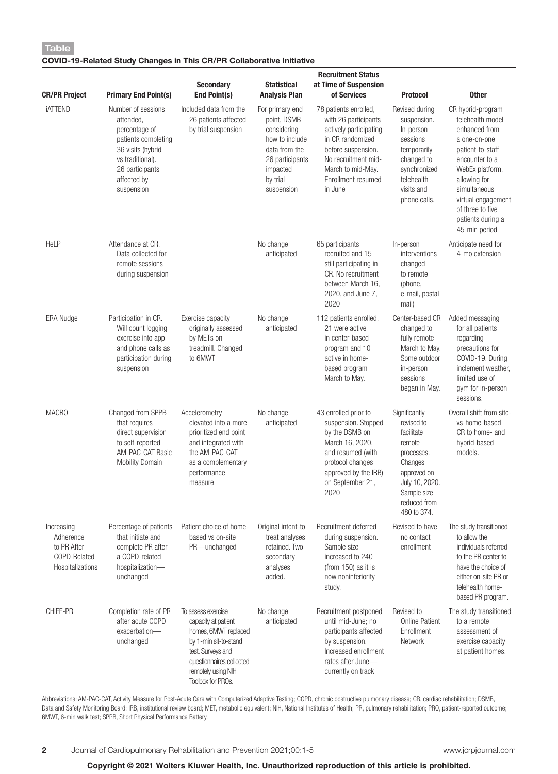## **Table**

### **COVID-19-Related Study Changes in This CR/PR Collaborative Initiative**

| <b>CR/PR Project</b>                                                       | <b>Primary End Point(s)</b>                                                                                                                                      | <b>Secondary</b><br>End Point(s)                                                                                                                                                       | <b>Statistical</b><br><b>Analysis Plan</b>                                                                                                | <b>Recruitment Status</b><br>at Time of Suspension<br>of Services                                                                                                                              | <b>Protocol</b>                                                                                                                                             | <b>Other</b>                                                                                                                                                                                                                                    |
|----------------------------------------------------------------------------|------------------------------------------------------------------------------------------------------------------------------------------------------------------|----------------------------------------------------------------------------------------------------------------------------------------------------------------------------------------|-------------------------------------------------------------------------------------------------------------------------------------------|------------------------------------------------------------------------------------------------------------------------------------------------------------------------------------------------|-------------------------------------------------------------------------------------------------------------------------------------------------------------|-------------------------------------------------------------------------------------------------------------------------------------------------------------------------------------------------------------------------------------------------|
| <b>IATTEND</b>                                                             | Number of sessions<br>attended.<br>percentage of<br>patients completing<br>36 visits (hybrid<br>vs traditional).<br>26 participants<br>affected by<br>suspension | Included data from the<br>26 patients affected<br>by trial suspension                                                                                                                  | For primary end<br>point, DSMB<br>considering<br>how to include<br>data from the<br>26 participants<br>impacted<br>by trial<br>suspension | 78 patients enrolled,<br>with 26 participants<br>actively participating<br>in CR randomized<br>before suspension.<br>No recruitment mid-<br>March to mid-May.<br>Enrollment resumed<br>in June | Revised during<br>suspension.<br>In-person<br>sessions<br>temporarily<br>changed to<br>synchronized<br>telehealth<br>visits and<br>phone calls.             | CR hybrid-program<br>telehealth model<br>enhanced from<br>a one-on-one<br>patient-to-staff<br>encounter to a<br>WebEx platform,<br>allowing for<br>simultaneous<br>virtual engagement<br>of three to five<br>patients during a<br>45-min period |
| HeLP                                                                       | Attendance at CR.<br>Data collected for<br>remote sessions<br>during suspension                                                                                  |                                                                                                                                                                                        | No change<br>anticipated                                                                                                                  | 65 participants<br>recruited and 15<br>still participating in<br>CR. No recruitment<br>between March 16,<br>2020, and June 7,<br>2020                                                          | In-person<br>interventions<br>changed<br>to remote<br>(phone,<br>e-mail, postal<br>mail)                                                                    | Anticipate need for<br>4-mo extension                                                                                                                                                                                                           |
| <b>ERA Nudge</b>                                                           | Participation in CR.<br>Will count logging<br>exercise into app<br>and phone calls as<br>participation during<br>suspension                                      | Exercise capacity<br>originally assessed<br>by METs on<br>treadmill. Changed<br>to 6MWT                                                                                                | No change<br>anticipated                                                                                                                  | 112 patients enrolled,<br>21 were active<br>in center-based<br>program and 10<br>active in home-<br>based program<br>March to May.                                                             | Center-based CR<br>changed to<br>fully remote<br>March to May.<br>Some outdoor<br>in-person<br>sessions<br>began in May.                                    | Added messaging<br>for all patients<br>regarding<br>precautions for<br>COVID-19. During<br>inclement weather,<br>limited use of<br>gym for in-person<br>sessions.                                                                               |
| <b>MACRO</b>                                                               | Changed from SPPB<br>that requires<br>direct supervision<br>to self-reported<br>AM-PAC-CAT Basic<br><b>Mobility Domain</b>                                       | Accelerometry<br>elevated into a more<br>prioritized end point<br>and integrated with<br>the AM-PAC-CAT<br>as a complementary<br>performance<br>measure                                | No change<br>anticipated                                                                                                                  | 43 enrolled prior to<br>suspension. Stopped<br>by the DSMB on<br>March 16, 2020,<br>and resumed (with<br>protocol changes<br>approved by the IRB)<br>on September 21,<br>2020                  | Significantly<br>revised to<br>facilitate<br>remote<br>processes.<br>Changes<br>approved on<br>July 10, 2020.<br>Sample size<br>reduced from<br>480 to 374. | Overall shift from site-<br>vs-home-based<br>CR to home- and<br>hybrid-based<br>models.                                                                                                                                                         |
| Increasing<br>Adherence<br>to PR After<br>COPD-Related<br>Hospitalizations | Percentage of patients<br>that initiate and<br>complete PR after<br>a COPD-related<br>hospitalization-<br>unchanged                                              | Patient choice of home-<br>based vs on-site<br>PR-unchanged                                                                                                                            | Original intent-to-<br>treat analyses<br>retained. Two<br>secondary<br>analyses<br>added.                                                 | Recruitment deferred<br>during suspension.<br>Sample size<br>increased to 240<br>(from 150) as it is<br>now noninferiority<br>study.                                                           | Revised to have<br>no contact<br>enrollment                                                                                                                 | The study transitioned<br>to allow the<br>individuals referred<br>to the PR center to<br>have the choice of<br>either on-site PR or<br>telehealth home-<br>based PR program.                                                                    |
| CHIEF-PR                                                                   | Completion rate of PR<br>after acute COPD<br>exacerbation-<br>unchanged                                                                                          | To assess exercise<br>capacity at patient<br>homes, 6MWT replaced<br>by 1-min sit-to-stand<br>test. Surveys and<br>questionnaires collected<br>remotely using NIH<br>Toolbox for PROs. | No change<br>anticipated                                                                                                                  | Recruitment postponed<br>until mid-June; no<br>participants affected<br>by suspension.<br>Increased enrollment<br>rates after June-<br>currently on track                                      | Revised to<br><b>Online Patient</b><br>Enrollment<br>Network                                                                                                | The study transitioned<br>to a remote<br>assessment of<br>exercise capacity<br>at patient homes.                                                                                                                                                |

Abbreviations: AM-PAC-CAT, Activity Measure for Post-Acute Care with Computerized Adaptive Testing; COPD, chronic obstructive pulmonary disease; CR, cardiac rehabilitation; DSMB, Data and Safety Monitoring Board; IRB, institutional review board; MET, metabolic equivalent; NIH, National Institutes of Health; PR, pulmonary rehabilitation; PRO, patient-reported outcome; 6MWT, 6-min walk test; SPPB, Short Physical Performance Battery.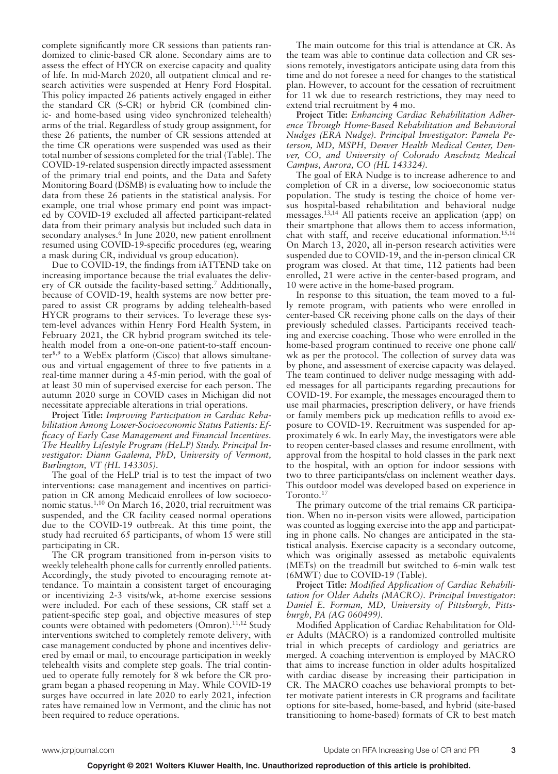complete significantly more CR sessions than patients randomized to clinic-based CR alone. Secondary aims are to assess the effect of HYCR on exercise capacity and quality of life. In mid-March 2020, all outpatient clinical and research activities were suspended at Henry Ford Hospital. This policy impacted 26 patients actively engaged in either the standard CR (S-CR) or hybrid CR (combined clinic- and home-based using video synchronized telehealth) arms of the trial. Regardless of study group assignment, for these 26 patients, the number of CR sessions attended at the time CR operations were suspended was used as their total number of sessions completed for the trial (Table). The COVID-19-related suspension directly impacted assessment of the primary trial end points, and the Data and Safety Monitoring Board (DSMB) is evaluating how to include the data from these 26 patients in the statistical analysis. For example, one trial whose primary end point was impacted by COVID-19 excluded all affected participant-related data from their primary analysis but included such data in secondary analyses.<sup>6</sup> In June 2020, new patient enrollment resumed using COVID-19-specific procedures (eg, wearing a mask during CR, individual vs group education).

Due to COVID-19, the findings from iATTEND take on increasing importance because the trial evaluates the delivery of CR outside the facility-based setting.<sup>7</sup> Additionally, because of COVID-19, health systems are now better prepared to assist CR programs by adding telehealth-based HYCR programs to their services. To leverage these system-level advances within Henry Ford Health System, in February 2021, the CR hybrid program switched its telehealth model from a one-on-one patient-to-staff encounter<sup>8,9</sup> to a WebEx platform (Cisco) that allows simultaneous and virtual engagement of three to five patients in a real-time manner during a 45-min period, with the goal of at least 30 min of supervised exercise for each person. The autumn 2020 surge in COVID cases in Michigan did not necessitate appreciable alterations in trial operations.

**Project Title:** *Improving Participation in Cardiac Rehabilitation Among Lower-Socioeconomic Status Patients: Efficacy of Early Case Management and Financial Incentives. The Healthy Lifestyle Program (HeLP) Study. Principal Investigator: Diann Gaalema, PhD, University of Vermont, Burlington, VT (HL 143305).*

The goal of the HeLP trial is to test the impact of two interventions: case management and incentives on participation in CR among Medicaid enrollees of low socioeconomic status.<sup>1,10</sup> On March 16, 2020, trial recruitment was suspended, and the CR facility ceased normal operations due to the COVID-19 outbreak. At this time point, the study had recruited 65 participants, of whom 15 were still participating in CR.

The CR program transitioned from in-person visits to weekly telehealth phone calls for currently enrolled patients. Accordingly, the study pivoted to encouraging remote attendance. To maintain a consistent target of encouraging or incentivizing 2-3 visits/wk, at-home exercise sessions were included. For each of these sessions, CR staff set a patient-specific step goal, and objective measures of step counts were obtained with pedometers (Omron).<sup>11,12</sup> Study interventions switched to completely remote delivery, with case management conducted by phone and incentives delivered by email or mail, to encourage participation in weekly telehealth visits and complete step goals. The trial continued to operate fully remotely for 8 wk before the CR program began a phased reopening in May. While COVID-19 surges have occurred in late 2020 to early 2021, infection rates have remained low in Vermont, and the clinic has not been required to reduce operations.

The main outcome for this trial is attendance at CR. As the team was able to continue data collection and CR sessions remotely, investigators anticipate using data from this time and do not foresee a need for changes to the statistical plan. However, to account for the cessation of recruitment for 11 wk due to research restrictions, they may need to extend trial recruitment by 4 mo.

**Project Title:** *Enhancing Cardiac Rehabilitation Adherence Through Home-Based Rehabilitation and Behavioral Nudges (ERA Nudge). Principal Investigator: Pamela Peterson, MD, MSPH, Denver Health Medical Center, Denver, CO, and University of Colorado Anschutz Medical Campus, Aurora, CO (HL 143324).*

The goal of ERA Nudge is to increase adherence to and completion of CR in a diverse, low socioeconomic status population. The study is testing the choice of home versus hospital-based rehabilitation and behavioral nudge messages.13,14 All patients receive an application (app) on their smartphone that allows them to access information, chat with staff, and receive educational information.<sup>15,16</sup> On March 13, 2020, all in-person research activities were suspended due to COVID-19, and the in-person clinical CR program was closed. At that time, 112 patients had been enrolled, 21 were active in the center-based program, and 10 were active in the home-based program.

In response to this situation, the team moved to a fully remote program, with patients who were enrolled in center-based CR receiving phone calls on the days of their previously scheduled classes. Participants received teaching and exercise coaching. Those who were enrolled in the home-based program continued to receive one phone call/ wk as per the protocol. The collection of survey data was by phone, and assessment of exercise capacity was delayed. The team continued to deliver nudge messaging with added messages for all participants regarding precautions for COVID-19. For example, the messages encouraged them to use mail pharmacies, prescription delivery, or have friends or family members pick up medication refills to avoid exposure to COVID-19. Recruitment was suspended for approximately 6 wk. In early May, the investigators were able to reopen center-based classes and resume enrollment, with approval from the hospital to hold classes in the park next to the hospital, with an option for indoor sessions with two to three participants/class on inclement weather days. This outdoor model was developed based on experience in Toronto.17

The primary outcome of the trial remains CR participation. When no in-person visits were allowed, participation was counted as logging exercise into the app and participating in phone calls. No changes are anticipated in the statistical analysis. Exercise capacity is a secondary outcome, which was originally assessed as metabolic equivalents (METs) on the treadmill but switched to 6-min walk test (6MWT) due to COVID-19 (Table).

**Project Title:** *Modified Application of Cardiac Rehabilitation for Older Adults (MACRO). Principal Investigator: Daniel E. Forman, MD, University of Pittsburgh, Pittsburgh, PA (AG 060499).*

Modified Application of Cardiac Rehabilitation for Older Adults (MACRO) is a randomized controlled multisite trial in which precepts of cardiology and geriatrics are merged. A coaching intervention is employed by MACRO that aims to increase function in older adults hospitalized with cardiac disease by increasing their participation in CR. The MACRO coaches use behavioral prompts to better motivate patient interests in CR programs and facilitate options for site-based, home-based, and hybrid (site-based transitioning to home-based) formats of CR to best match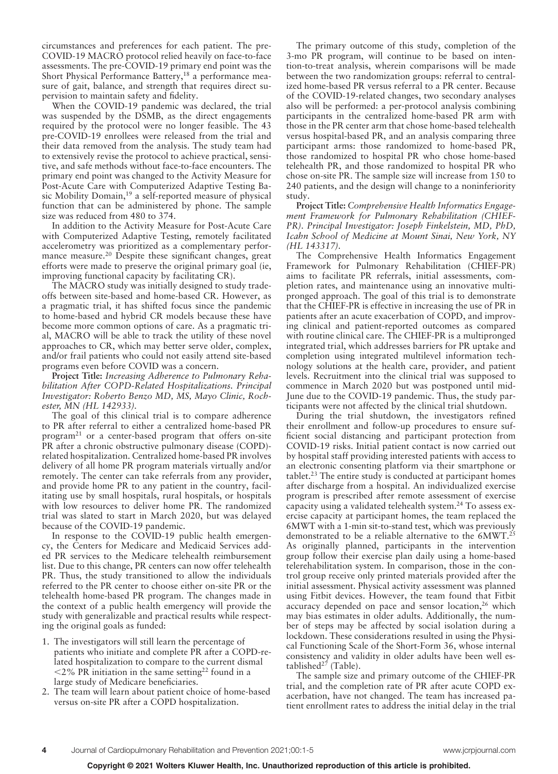circumstances and preferences for each patient. The pre-COVID-19 MACRO protocol relied heavily on face-to-face assessments. The pre-COVID-19 primary end point was the Short Physical Performance Battery,<sup>18</sup> a performance measure of gait, balance, and strength that requires direct supervision to maintain safety and fidelity.

When the COVID-19 pandemic was declared, the trial was suspended by the DSMB, as the direct engagements required by the protocol were no longer feasible. The 43 pre-COVID-19 enrollees were released from the trial and their data removed from the analysis. The study team had to extensively revise the protocol to achieve practical, sensitive, and safe methods without face-to-face encounters. The primary end point was changed to the Activity Measure for Post-Acute Care with Computerized Adaptive Testing Basic Mobility Domain,<sup>19</sup> a self-reported measure of physical function that can be administered by phone. The sample size was reduced from 480 to 374.

In addition to the Activity Measure for Post-Acute Care with Computerized Adaptive Testing, remotely facilitated accelerometry was prioritized as a complementary performance measure.20 Despite these significant changes, great efforts were made to preserve the original primary goal (ie, improving functional capacity by facilitating CR).

The MACRO study was initially designed to study tradeoffs between site-based and home-based CR. However, as a pragmatic trial, it has shifted focus since the pandemic to home-based and hybrid CR models because these have become more common options of care. As a pragmatic trial, MACRO will be able to track the utility of these novel approaches to CR, which may better serve older, complex, and/or frail patients who could not easily attend site-based programs even before COVID was a concern.

**Project Title:** *Increasing Adherence to Pulmonary Rehabilitation After COPD-Related Hospitalizations. Principal Investigator: Roberto Benzo MD, MS, Mayo Clinic, Rochester, MN (HL 142933).*

The goal of this clinical trial is to compare adherence to PR after referral to either a centralized home-based PR program<sup>21</sup> or a center-based program that offers on-site PR after a chronic obstructive pulmonary disease (COPD) related hospitalization. Centralized home-based PR involves delivery of all home PR program materials virtually and/or remotely. The center can take referrals from any provider, and provide home PR to any patient in the country, facilitating use by small hospitals, rural hospitals, or hospitals with low resources to deliver home PR. The randomized trial was slated to start in March 2020, but was delayed because of the COVID-19 pandemic.

In response to the COVID-19 public health emergency, the Centers for Medicare and Medicaid Services added PR services to the Medicare telehealth reimbursement list. Due to this change, PR centers can now offer telehealth PR. Thus, the study transitioned to allow the individuals referred to the PR center to choose either on-site PR or the telehealth home-based PR program. The changes made in the context of a public health emergency will provide the study with generalizable and practical results while respecting the original goals as funded:

- 1. The investigators will still learn the percentage of patients who initiate and complete PR after a COPD-related hospitalization to compare to the current dismal  $<$  2% PR initiation in the same setting<sup>22</sup> found in a large study of Medicare beneficiaries.
- 2. The team will learn about patient choice of home-based versus on-site PR after a COPD hospitalization.

The primary outcome of this study, completion of the 3-mo PR program, will continue to be based on intention-to-treat analysis, wherein comparisons will be made between the two randomization groups: referral to centralized home-based PR versus referral to a PR center. Because of the COVID-19-related changes, two secondary analyses also will be performed: a per-protocol analysis combining participants in the centralized home-based PR arm with those in the PR center arm that chose home-based telehealth versus hospital-based PR, and an analysis comparing three participant arms: those randomized to home-based PR, those randomized to hospital PR who chose home-based telehealth PR, and those randomized to hospital PR who chose on-site PR. The sample size will increase from 150 to 240 patients, and the design will change to a noninferiority study.

**Project Title:** *Comprehensive Health Informatics Engagement Framework for Pulmonary Rehabilitation (CHIEF-PR). Principal Investigator: Joseph Finkelstein, MD, PhD, Icahn School of Medicine at Mount Sinai, New York, NY (HL 143317).*

The Comprehensive Health Informatics Engagement Framework for Pulmonary Rehabilitation (CHIEF-PR) aims to facilitate PR referrals, initial assessments, completion rates, and maintenance using an innovative multipronged approach. The goal of this trial is to demonstrate that the CHIEF-PR is effective in increasing the use of PR in patients after an acute exacerbation of COPD, and improving clinical and patient-reported outcomes as compared with routine clinical care. The CHIEF-PR is a multipronged integrated trial, which addresses barriers for PR uptake and completion using integrated multilevel information technology solutions at the health care, provider, and patient levels. Recruitment into the clinical trial was supposed to commence in March 2020 but was postponed until mid-June due to the COVID-19 pandemic. Thus, the study participants were not affected by the clinical trial shutdown.

During the trial shutdown, the investigators refined their enrollment and follow-up procedures to ensure sufficient social distancing and participant protection from COVID-19 risks. Initial patient contact is now carried out by hospital staff providing interested patients with access to an electronic consenting platform via their smartphone or  $tablet.<sup>23</sup> The entire study is conducted at participant homes$ after discharge from a hospital. An individualized exercise program is prescribed after remote assessment of exercise capacity using a validated telehealth system.<sup>24</sup> To assess exercise capacity at participant homes, the team replaced the 6MWT with a 1-min sit-to-stand test, which was previously demonstrated to be a reliable alternative to the 6MWT.25 As originally planned, participants in the intervention group follow their exercise plan daily using a home-based telerehabilitation system. In comparison, those in the control group receive only printed materials provided after the initial assessment. Physical activity assessment was planned using Fitbit devices. However, the team found that Fitbit accuracy depended on pace and sensor location, $2<sup>6</sup>$  which may bias estimates in older adults. Additionally, the number of steps may be affected by social isolation during a lockdown. These considerations resulted in using the Physical Functioning Scale of the Short-Form 36, whose internal consistency and validity in older adults have been well established $^{27}$  (Table).

The sample size and primary outcome of the CHIEF-PR trial, and the completion rate of PR after acute COPD exacerbation, have not changed. The team has increased patient enrollment rates to address the initial delay in the trial